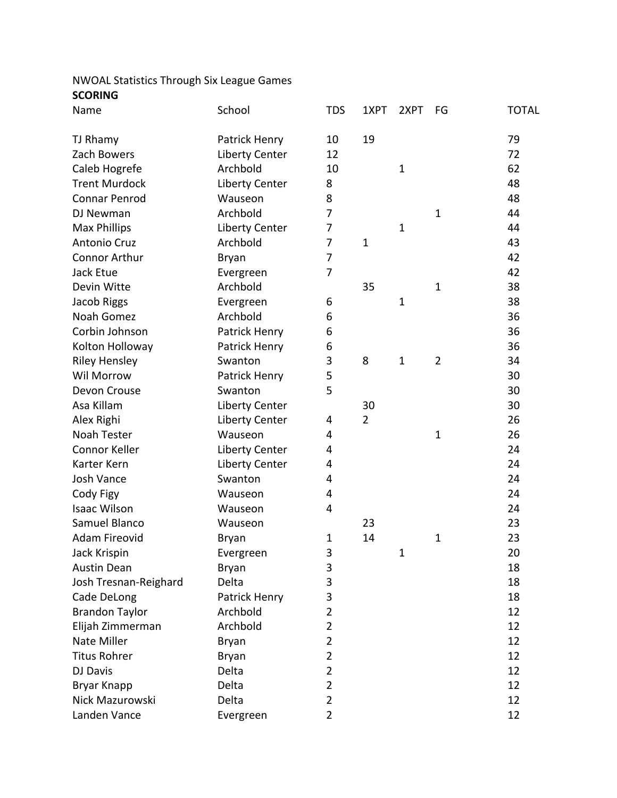## NWOAL Statistics Through Six League Games **SCORING**

| Name                  | School                | <b>TDS</b>     | 1XPT           | 2XPT        | FG             | <b>TOTAL</b> |
|-----------------------|-----------------------|----------------|----------------|-------------|----------------|--------------|
| TJ Rhamy              | Patrick Henry         | 10             | 19             |             |                | 79           |
| Zach Bowers           | <b>Liberty Center</b> | 12             |                |             |                | 72           |
| Caleb Hogrefe         | Archbold              | 10             |                | $\mathbf 1$ |                | 62           |
| <b>Trent Murdock</b>  | <b>Liberty Center</b> | 8              |                |             |                | 48           |
| <b>Connar Penrod</b>  | Wauseon               | 8              |                |             |                | 48           |
| DJ Newman             | Archbold              | 7              |                |             | $\mathbf{1}$   | 44           |
| <b>Max Phillips</b>   | <b>Liberty Center</b> | 7              |                | $\mathbf 1$ |                | 44           |
| Antonio Cruz          | Archbold              | 7              | $\mathbf{1}$   |             |                | 43           |
| <b>Connor Arthur</b>  | Bryan                 | 7              |                |             |                | 42           |
| Jack Etue             | Evergreen             | 7              |                |             |                | 42           |
| Devin Witte           | Archbold              |                | 35             |             | $\mathbf{1}$   | 38           |
| Jacob Riggs           | Evergreen             | 6              |                | $\mathbf 1$ |                | 38           |
| Noah Gomez            | Archbold              | 6              |                |             |                | 36           |
| Corbin Johnson        | Patrick Henry         | 6              |                |             |                | 36           |
| Kolton Holloway       | Patrick Henry         | 6              |                |             |                | 36           |
| <b>Riley Hensley</b>  | Swanton               | 3              | 8              | $\mathbf 1$ | $\overline{2}$ | 34           |
| Wil Morrow            | Patrick Henry         | 5              |                |             |                | 30           |
| Devon Crouse          | Swanton               | 5              |                |             |                | 30           |
| Asa Killam            | <b>Liberty Center</b> |                | 30             |             |                | 30           |
| Alex Righi            | Liberty Center        | 4              | $\overline{2}$ |             |                | 26           |
| <b>Noah Tester</b>    | Wauseon               | 4              |                |             | $\mathbf 1$    | 26           |
| Connor Keller         | <b>Liberty Center</b> | 4              |                |             |                | 24           |
| Karter Kern           | <b>Liberty Center</b> | 4              |                |             |                | 24           |
| Josh Vance            | Swanton               | 4              |                |             |                | 24           |
| Cody Figy             | Wauseon               | 4              |                |             |                | 24           |
| <b>Isaac Wilson</b>   | Wauseon               | 4              |                |             |                | 24           |
| Samuel Blanco         | Wauseon               |                | 23             |             |                | 23           |
| <b>Adam Fireovid</b>  | Bryan                 | 1              | 14             |             | 1              | 23           |
| Jack Krispin          | Evergreen             | 3              |                | 1           |                | 20           |
| <b>Austin Dean</b>    | <b>Bryan</b>          | 3              |                |             |                | 18           |
| Josh Tresnan-Reighard | Delta                 | 3              |                |             |                | 18           |
| Cade DeLong           | Patrick Henry         | 3              |                |             |                | 18           |
| <b>Brandon Taylor</b> | Archbold              | 2              |                |             |                | 12           |
| Elijah Zimmerman      | Archbold              | 2              |                |             |                | 12           |
| Nate Miller           | Bryan                 | $\overline{2}$ |                |             |                | 12           |
| <b>Titus Rohrer</b>   | <b>Bryan</b>          | 2              |                |             |                | 12           |
| DJ Davis              | Delta                 | $\overline{2}$ |                |             |                | 12           |
| <b>Bryar Knapp</b>    | Delta                 | 2              |                |             |                | 12           |
| Nick Mazurowski       | Delta                 | 2              |                |             |                | 12           |
| Landen Vance          | Evergreen             | 2              |                |             |                | 12           |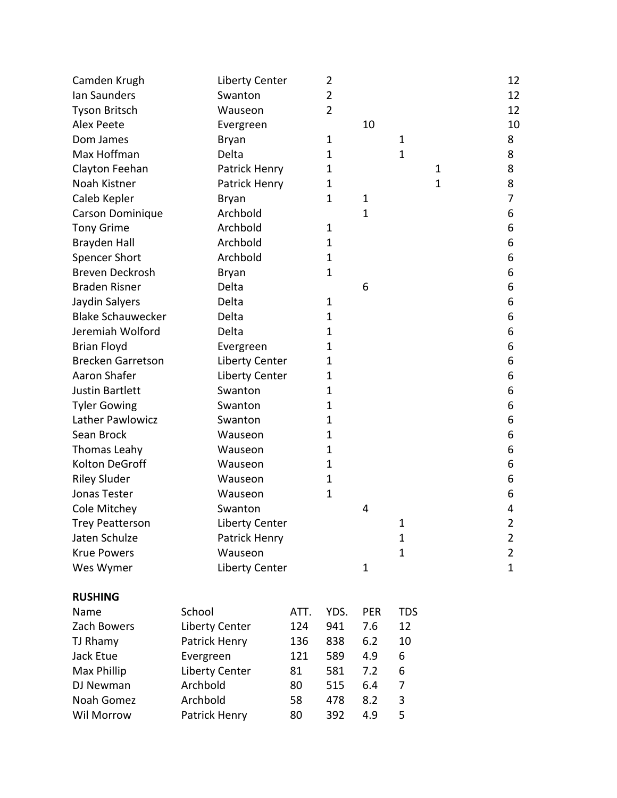| Camden Krugh             | <b>Liberty Center</b> |      | 2    |              |              |   | 12             |
|--------------------------|-----------------------|------|------|--------------|--------------|---|----------------|
| Ian Saunders             | Swanton               |      | 2    |              |              |   | 12             |
| <b>Tyson Britsch</b>     | Wauseon               |      | 2    |              |              |   | 12             |
| <b>Alex Peete</b>        | Evergreen             |      |      | 10           |              |   | 10             |
| Dom James                | Bryan                 |      | 1    |              | 1            |   | 8              |
| Max Hoffman              | Delta                 |      | 1    |              | 1            |   | 8              |
| Clayton Feehan           | Patrick Henry         |      | 1    |              |              | 1 | 8              |
| Noah Kistner             | Patrick Henry         |      | 1    |              |              | 1 | 8              |
| Caleb Kepler             | Bryan                 |      | 1    | $\mathbf 1$  |              |   | 7              |
| Carson Dominique         | Archbold              |      |      | $\mathbf{1}$ |              |   | 6              |
| <b>Tony Grime</b>        | Archbold              |      | 1    |              |              |   | 6              |
| <b>Brayden Hall</b>      | Archbold              |      | 1    |              |              |   | 6              |
| <b>Spencer Short</b>     | Archbold              |      | 1    |              |              |   | 6              |
| <b>Breven Deckrosh</b>   | <b>Bryan</b>          |      | 1    |              |              |   | 6              |
| <b>Braden Risner</b>     | Delta                 |      |      | 6            |              |   | 6              |
| Jaydin Salyers           | Delta                 |      | 1    |              |              |   | 6              |
| <b>Blake Schauwecker</b> | Delta                 |      | 1    |              |              |   | 6              |
| Jeremiah Wolford         | Delta                 |      | 1    |              |              |   | 6              |
| <b>Brian Floyd</b>       | Evergreen             |      | 1    |              |              |   | 6              |
| <b>Brecken Garretson</b> | <b>Liberty Center</b> |      | 1    |              |              |   | 6              |
| Aaron Shafer             | <b>Liberty Center</b> |      | 1    |              |              |   | 6              |
| <b>Justin Bartlett</b>   | Swanton               |      | 1    |              |              |   | 6              |
| <b>Tyler Gowing</b>      | Swanton               |      | 1    |              |              |   | 6              |
| Lather Pawlowicz         | Swanton               |      | 1    |              |              |   | 6              |
| Sean Brock               | Wauseon               |      | 1    |              |              |   | 6              |
| Thomas Leahy             | Wauseon               |      | 1    |              |              |   | 6              |
| <b>Kolton DeGroff</b>    | Wauseon               |      | 1    |              |              |   | 6              |
| <b>Riley Sluder</b>      | Wauseon               |      | 1    |              |              |   | 6              |
| Jonas Tester             | Wauseon               |      | 1    |              |              |   | 6              |
| Cole Mitchey             | Swanton               |      |      | 4            |              |   | 4              |
| <b>Trey Peatterson</b>   | Liberty Center        |      |      |              | 1            |   | 2              |
| Jaten Schulze            | Patrick Henry         |      |      |              | 1            |   | $\overline{2}$ |
| <b>Krue Powers</b>       | Wauseon               |      |      |              | $\mathbf{1}$ |   | $\overline{2}$ |
| Wes Wymer                | <b>Liberty Center</b> |      |      | $\mathbf{1}$ |              |   | $\mathbf{1}$   |
| <b>RUSHING</b>           |                       |      |      |              |              |   |                |
| Name                     | School                | ATT. | YDS. | PER          | <b>TDS</b>   |   |                |
| Zach Bowers              | <b>Liberty Center</b> | 124  | 941  | 7.6          | 12           |   |                |
| TJ Rhamy                 | Patrick Henry         | 136  | 838  | 6.2          | 10           |   |                |
| Jack Etue                | Evergreen             | 121  | 589  | 4.9          | 6            |   |                |
| Max Phillip              | <b>Liberty Center</b> | 81   | 581  | 7.2          | 6            |   |                |
| DJ Newman                | Archbold<br>80        |      | 515  | 6.4          | 7            |   |                |
| Noah Gomez               | Archbold              | 58   | 478  | 8.2          | 3            |   |                |
| Wil Morrow               | Patrick Henry         | 80   | 392  | 4.9          | 5            |   |                |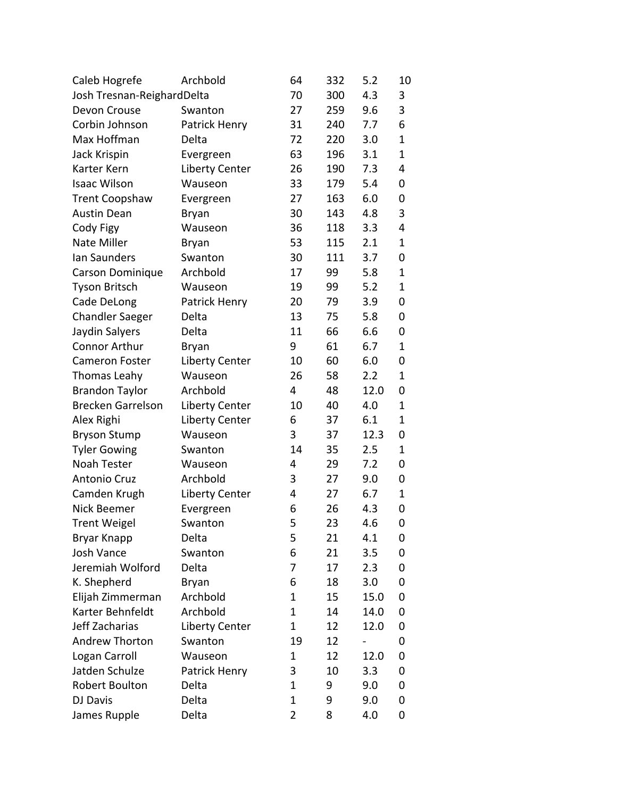| Caleb Hogrefe              | Archbold              | 64          | 332 | 5.2  | 10 |
|----------------------------|-----------------------|-------------|-----|------|----|
| Josh Tresnan-ReighardDelta | 70                    | 300         | 4.3 | 3    |    |
| Devon Crouse               | Swanton               | 27          | 259 | 9.6  | 3  |
| Corbin Johnson             | Patrick Henry         | 31          | 240 | 7.7  | 6  |
| Max Hoffman                | Delta                 | 72          | 220 | 3.0  | 1  |
| Jack Krispin               | Evergreen             | 63          | 196 | 3.1  | 1  |
| Karter Kern                | Liberty Center        | 26          | 190 | 7.3  | 4  |
| <b>Isaac Wilson</b>        | Wauseon               | 33          | 179 | 5.4  | 0  |
| <b>Trent Coopshaw</b>      | Evergreen             | 27          | 163 | 6.0  | 0  |
| <b>Austin Dean</b>         | <b>Bryan</b>          | 30          | 143 | 4.8  | 3  |
| Cody Figy                  | Wauseon               | 36          | 118 | 3.3  | 4  |
| Nate Miller                | <b>Bryan</b>          | 53          | 115 | 2.1  | 1  |
| Ian Saunders               | Swanton               | 30          | 111 | 3.7  | 0  |
| Carson Dominique           | Archbold              | 17          | 99  | 5.8  | 1  |
| <b>Tyson Britsch</b>       | Wauseon               | 19          | 99  | 5.2  | 1  |
| Cade DeLong                | Patrick Henry         | 20          | 79  | 3.9  | 0  |
| <b>Chandler Saeger</b>     | Delta                 | 13          | 75  | 5.8  | 0  |
| Jaydin Salyers             | Delta                 | 11          | 66  | 6.6  | 0  |
| <b>Connor Arthur</b>       | Bryan                 | 9           | 61  | 6.7  | 1  |
| <b>Cameron Foster</b>      | <b>Liberty Center</b> | 10          | 60  | 6.0  | 0  |
| Thomas Leahy               | Wauseon               | 26          | 58  | 2.2  | 1  |
| <b>Brandon Taylor</b>      | Archbold              | 4           | 48  | 12.0 | 0  |
| <b>Brecken Garrelson</b>   | <b>Liberty Center</b> | 10          | 40  | 4.0  | 1  |
| Alex Righi                 | Liberty Center        | 6           | 37  | 6.1  | 1  |
| <b>Bryson Stump</b>        | Wauseon               | 3           | 37  | 12.3 | 0  |
| <b>Tyler Gowing</b>        | Swanton               | 14          | 35  | 2.5  | 1  |
| Noah Tester                | Wauseon               | 4           | 29  | 7.2  | 0  |
| <b>Antonio Cruz</b>        | Archbold              | 3           | 27  | 9.0  | 0  |
| Camden Krugh               | <b>Liberty Center</b> | 4           | 27  | 6.7  | 1  |
| Nick Beemer                | Evergreen             | 6           | 26  | 4.3  | 0  |
| <b>Trent Weigel</b>        | Swanton               | 5           | 23  | 4.6  | 0  |
| <b>Bryar Knapp</b>         | Delta                 | 5           | 21  | 4.1  | 0  |
| Josh Vance                 | Swanton               | 6           | 21  | 3.5  | 0  |
| Jeremiah Wolford           | Delta                 | 7           | 17  | 2.3  | 0  |
| K. Shepherd                | <b>Bryan</b>          | 6           | 18  | 3.0  | 0  |
| Elijah Zimmerman           | Archbold              | 1           | 15  | 15.0 | 0  |
| Karter Behnfeldt           | Archbold              | 1           | 14  | 14.0 | 0  |
| Jeff Zacharias             | <b>Liberty Center</b> | 1           | 12  | 12.0 | 0  |
| <b>Andrew Thorton</b>      | Swanton               | 19          | 12  |      | 0  |
| Logan Carroll              | Wauseon               | 1           | 12  | 12.0 | 0  |
| Jatden Schulze             | Patrick Henry         | 3           | 10  | 3.3  | 0  |
| Robert Boulton             | Delta                 | 1           | 9   | 9.0  | 0  |
| DJ Davis                   | Delta                 | $\mathbf 1$ | 9   | 9.0  | 0  |
| James Rupple               | Delta                 | 2           | 8   | 4.0  | 0  |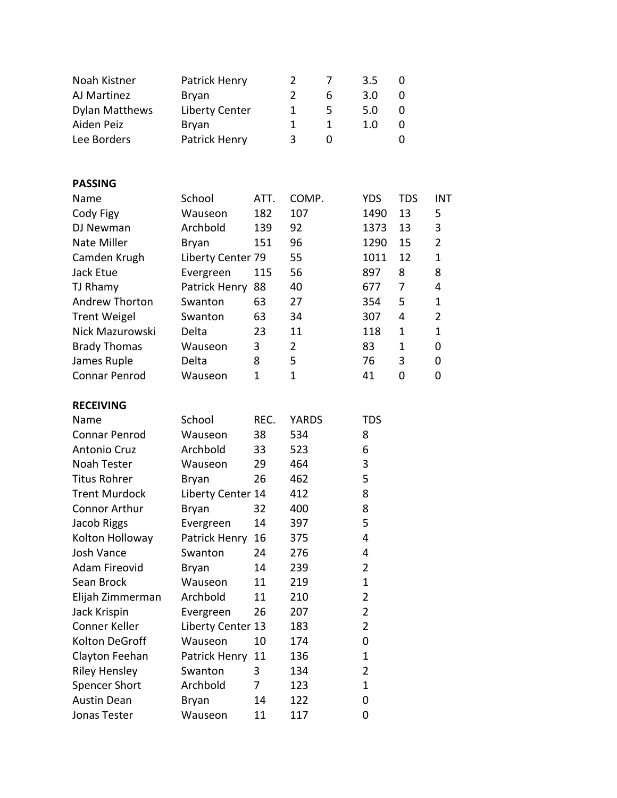| Noah Kistner          | Patrick Henry         |              | $\overline{2}$ | 7            | 3.5            | 0          |                |
|-----------------------|-----------------------|--------------|----------------|--------------|----------------|------------|----------------|
| AJ Martinez           | <b>Bryan</b>          |              | $\overline{2}$ | 6            | 3.0            | 0          |                |
| <b>Dylan Matthews</b> | <b>Liberty Center</b> |              | 1              | 5            | 5.0            | 0          |                |
| Aiden Peiz            | <b>Bryan</b>          |              | 1              | $\mathbf{1}$ | 1.0            | 0          |                |
| Lee Borders           | Patrick Henry         |              | 3              | 0            |                | 0          |                |
|                       |                       |              |                |              |                |            |                |
| <b>PASSING</b>        |                       |              |                |              |                |            |                |
| Name                  | School                | ATT.         | COMP.          |              | <b>YDS</b>     | <b>TDS</b> | <b>INT</b>     |
| Cody Figy             | Wauseon               | 182          | 107            |              | 1490           | 13         | 5              |
| DJ Newman             | Archbold              | 139          | 92             |              | 1373           | 13         | 3              |
| Nate Miller           | <b>Bryan</b>          | 151          | 96             |              | 1290           | 15         | $\overline{2}$ |
| Camden Krugh          | Liberty Center 79     |              | 55             |              | 1011           | 12         | $\mathbf 1$    |
| Jack Etue             | Evergreen             | 115          | 56             |              | 897            | 8          | 8              |
| TJ Rhamy              | Patrick Henry         | 88           | 40             |              | 677            | 7          | 4              |
| <b>Andrew Thorton</b> | Swanton               | 63           | 27             |              | 354            | 5          | $\mathbf 1$    |
| <b>Trent Weigel</b>   | Swanton               | 63           | 34             |              | 307            | 4          | $\overline{2}$ |
| Nick Mazurowski       | Delta                 | 23           | 11             |              | 118            | 1          | $\mathbf{1}$   |
| <b>Brady Thomas</b>   | Wauseon               | 3            | $\overline{2}$ |              | 83             | 1          | 0              |
| James Ruple           | Delta                 | 8            | 5              |              | 76             | 3          | 0              |
| <b>Connar Penrod</b>  | Wauseon               | $\mathbf{1}$ | $\mathbf 1$    |              | 41             | 0          | 0              |
|                       |                       |              |                |              |                |            |                |
| <b>RECEIVING</b>      |                       |              |                |              |                |            |                |
| Name                  | School                | REC.         | <b>YARDS</b>   |              | <b>TDS</b>     |            |                |
| Connar Penrod         | Wauseon               | 38           | 534            |              | 8              |            |                |
| <b>Antonio Cruz</b>   | Archbold              | 33           | 523            |              | 6              |            |                |
| <b>Noah Tester</b>    | Wauseon               | 29           | 464            |              | 3              |            |                |
| <b>Titus Rohrer</b>   | <b>Bryan</b>          | 26           | 462            |              | 5              |            |                |
| <b>Trent Murdock</b>  | Liberty Center 14     |              | 412            |              | 8              |            |                |
| <b>Connor Arthur</b>  | <b>Bryan</b>          | 32           | 400            |              | 8              |            |                |
| Jacob Riggs           | Evergreen             | 14           | 397            |              | 5              |            |                |
| Kolton Holloway       | Patrick Henry         | 16           | 375            |              | 4              |            |                |
| Josh Vance            | Swanton               | 24           | 276            |              | 4              |            |                |
| <b>Adam Fireovid</b>  | Bryan                 | 14           | 239            |              | $\overline{2}$ |            |                |
| Sean Brock            | Wauseon               | 11           | 219            |              | 1              |            |                |
| Elijah Zimmerman      | Archbold              | 11           | 210            |              | $\overline{2}$ |            |                |
| Jack Krispin          | Evergreen             | 26           | 207            |              | $\overline{2}$ |            |                |
| Conner Keller         | Liberty Center 13     |              | 183            |              | $\overline{2}$ |            |                |
| Kolton DeGroff        | Wauseon               | 10           | 174            |              | 0              |            |                |
| Clayton Feehan        | Patrick Henry         | 11           | 136            |              | $\mathbf 1$    |            |                |
| <b>Riley Hensley</b>  | Swanton               | 3            | 134            |              | 2              |            |                |
| <b>Spencer Short</b>  | Archbold              | 7            | 123            |              | $\mathbf 1$    |            |                |
| <b>Austin Dean</b>    | Bryan                 | 14           | 122            |              | 0              |            |                |
| Jonas Tester          | Wauseon               | 11           | 117            |              | 0              |            |                |